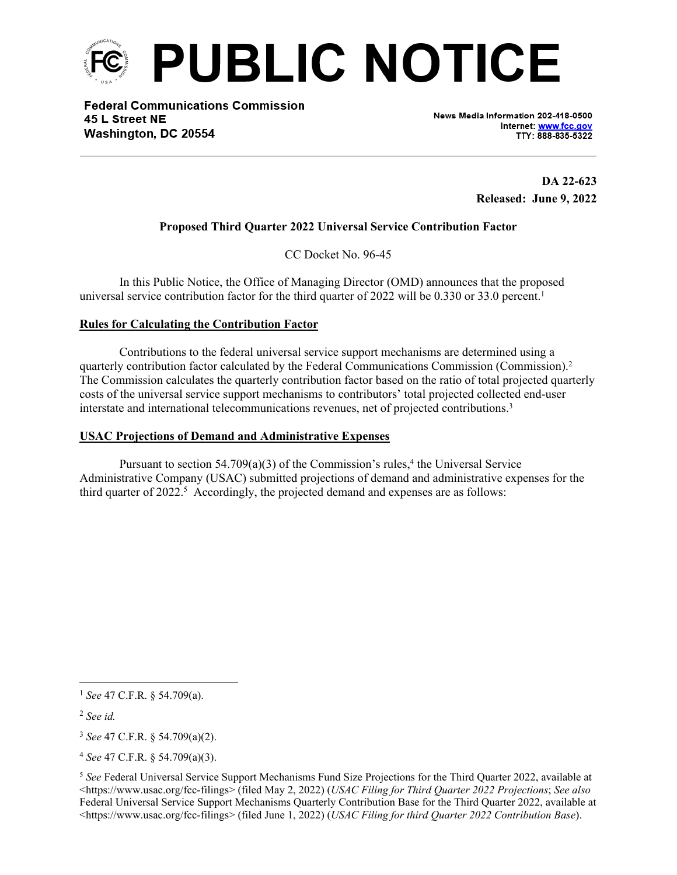

**Federal Communications Commission** 45 L Street NE Washington, DC 20554

News Media Information 202-418-0500 Internet: www.fcc.gov TTY: 888-835-5322

> **DA 22-623 Released: June 9, 2022**

# **Proposed Third Quarter 2022 Universal Service Contribution Factor**

CC Docket No. 96-45

In this Public Notice, the Office of Managing Director (OMD) announces that the proposed universal service contribution factor for the third quarter of 2022 will be 0.330 or 33.0 percent.<sup>1</sup>

## **Rules for Calculating the Contribution Factor**

Contributions to the federal universal service support mechanisms are determined using a quarterly contribution factor calculated by the Federal Communications Commission (Commission).<sup>2</sup> The Commission calculates the quarterly contribution factor based on the ratio of total projected quarterly costs of the universal service support mechanisms to contributors' total projected collected end-user interstate and international telecommunications revenues, net of projected contributions.<sup>3</sup>

## **USAC Projections of Demand and Administrative Expenses**

Pursuant to section  $54.709(a)(3)$  of the Commission's rules,<sup>4</sup> the Universal Service Administrative Company (USAC) submitted projections of demand and administrative expenses for the third quarter of  $2022$ .<sup>5</sup> Accordingly, the projected demand and expenses are as follows:

<sup>1</sup> *See* 47 C.F.R. § 54.709(a).

<sup>2</sup> *See id.*

<sup>3</sup> *See* 47 C.F.R. § 54.709(a)(2).

<sup>4</sup> *See* 47 C.F.R. § 54.709(a)(3).

<sup>5</sup> *See* Federal Universal Service Support Mechanisms Fund Size Projections for the Third Quarter 2022, available at <https://www.usac.org/fcc-filings> (filed May 2, 2022) (*USAC Filing for Third Quarter 2022 Projections*; *See also* Federal Universal Service Support Mechanisms Quarterly Contribution Base for the Third Quarter 2022, available at <https://www.usac.org/fcc-filings> (filed June 1, 2022) (*USAC Filing for third Quarter 2022 Contribution Base*).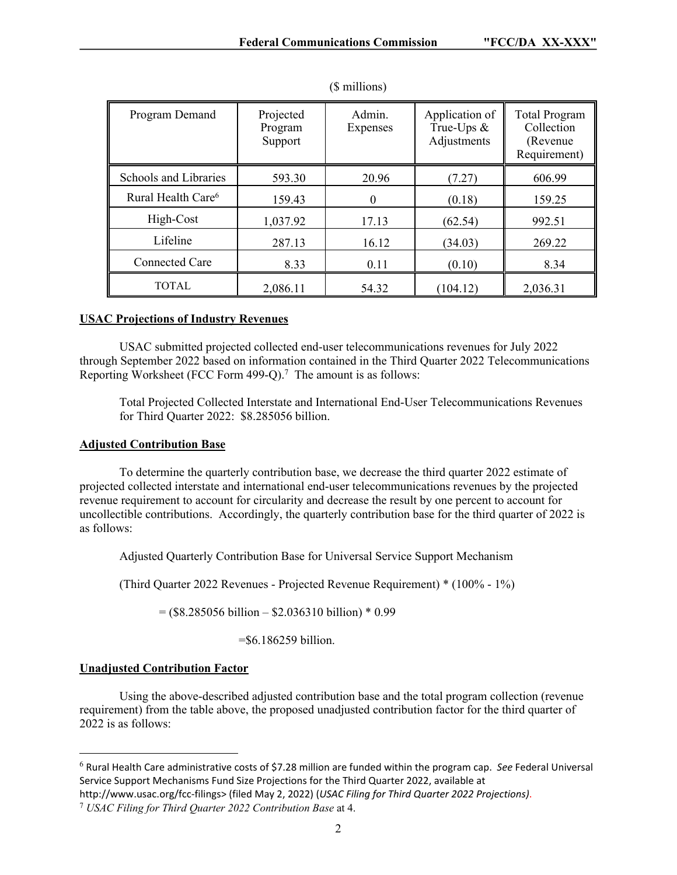| Program Demand                 | Projected<br>Program<br>Support | Admin.<br>Expenses | Application of<br>True-Ups $\&$<br>Adjustments | <b>Total Program</b><br>Collection<br>(Revenue)<br>Requirement) |
|--------------------------------|---------------------------------|--------------------|------------------------------------------------|-----------------------------------------------------------------|
| Schools and Libraries          | 593.30                          | 20.96              | (7.27)                                         | 606.99                                                          |
| Rural Health Care <sup>6</sup> | 159.43                          | $\theta$           | (0.18)                                         | 159.25                                                          |
| High-Cost                      | 1,037.92                        | 17.13              | (62.54)                                        | 992.51                                                          |
| Lifeline                       | 287.13                          | 16.12              | (34.03)                                        | 269.22                                                          |
| <b>Connected Care</b>          | 8.33                            | 0.11               | (0.10)                                         | 8.34                                                            |
| TOTAL                          | 2,086.11                        | 54.32              | (104.12)                                       | 2,036.31                                                        |

(\$ millions)

## **USAC Projections of Industry Revenues**

USAC submitted projected collected end-user telecommunications revenues for July 2022 through September 2022 based on information contained in the Third Quarter 2022 Telecommunications Reporting Worksheet (FCC Form 499-Q).<sup>7</sup> The amount is as follows:

Total Projected Collected Interstate and International End-User Telecommunications Revenues for Third Quarter 2022: \$8.285056 billion.

### **Adjusted Contribution Base**

To determine the quarterly contribution base, we decrease the third quarter 2022 estimate of projected collected interstate and international end-user telecommunications revenues by the projected revenue requirement to account for circularity and decrease the result by one percent to account for uncollectible contributions. Accordingly, the quarterly contribution base for the third quarter of 2022 is as follows:

Adjusted Quarterly Contribution Base for Universal Service Support Mechanism

(Third Quarter 2022 Revenues - Projected Revenue Requirement) \* (100% - 1%)

 $=$  (\$8.285056 billion – \$2.036310 billion) \* 0.99

=\$6.186259 billion.

#### **Unadjusted Contribution Factor**

Using the above-described adjusted contribution base and the total program collection (revenue requirement) from the table above, the proposed unadjusted contribution factor for the third quarter of 2022 is as follows:

<sup>6</sup> Rural Health Care administrative costs of \$7.28 million are funded within the program cap. *See* Federal Universal Service Support Mechanisms Fund Size Projections for the Third Quarter 2022, available at

http://www.usac.org/fcc-filings> (filed May 2, 2022) (*USAC Filing for Third Quarter 2022 Projections)*.

<sup>7</sup>  *USAC Filing for Third Quarter 2022 Contribution Base* at 4.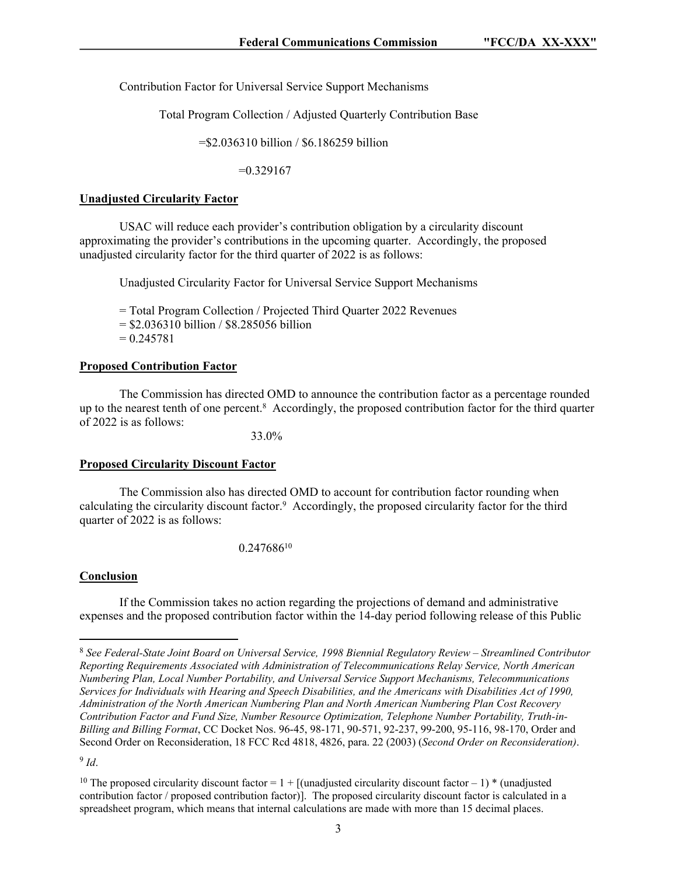Contribution Factor for Universal Service Support Mechanisms

Total Program Collection / Adjusted Quarterly Contribution Base

=\$2.036310 billion / \$6.186259 billion

 $=0.329167$ 

#### **Unadjusted Circularity Factor**

USAC will reduce each provider's contribution obligation by a circularity discount approximating the provider's contributions in the upcoming quarter. Accordingly, the proposed unadjusted circularity factor for the third quarter of 2022 is as follows:

Unadjusted Circularity Factor for Universal Service Support Mechanisms

= Total Program Collection / Projected Third Quarter 2022 Revenues  $=$  \$2.036310 billion / \$8.285056 billion  $= 0.245781$ 

### **Proposed Contribution Factor**

The Commission has directed OMD to announce the contribution factor as a percentage rounded up to the nearest tenth of one percent.<sup>8</sup> Accordingly, the proposed contribution factor for the third quarter of 2022 is as follows:

33.0%

#### **Proposed Circularity Discount Factor**

The Commission also has directed OMD to account for contribution factor rounding when calculating the circularity discount factor.<sup>9</sup> Accordingly, the proposed circularity factor for the third quarter of 2022 is as follows:

0.247686<sup>10</sup>

#### **Conclusion**

If the Commission takes no action regarding the projections of demand and administrative expenses and the proposed contribution factor within the 14-day period following release of this Public

<sup>8</sup> *See Federal-State Joint Board on Universal Service, 1998 Biennial Regulatory Review – Streamlined Contributor Reporting Requirements Associated with Administration of Telecommunications Relay Service, North American Numbering Plan, Local Number Portability, and Universal Service Support Mechanisms, Telecommunications Services for Individuals with Hearing and Speech Disabilities, and the Americans with Disabilities Act of 1990, Administration of the North American Numbering Plan and North American Numbering Plan Cost Recovery Contribution Factor and Fund Size, Number Resource Optimization, Telephone Number Portability, Truth-in-Billing and Billing Format*, CC Docket Nos. 96-45, 98-171, 90-571, 92-237, 99-200, 95-116, 98-170, Order and Second Order on Reconsideration, 18 FCC Rcd 4818, 4826, para. 22 (2003) (*Second Order on Reconsideration)*.

<sup>9</sup> *Id*.

<sup>&</sup>lt;sup>10</sup> The proposed circularity discount factor =  $1 +$  [(unadjusted circularity discount factor – 1) \* (unadjusted contribution factor / proposed contribution factor)]. The proposed circularity discount factor is calculated in a spreadsheet program, which means that internal calculations are made with more than 15 decimal places.